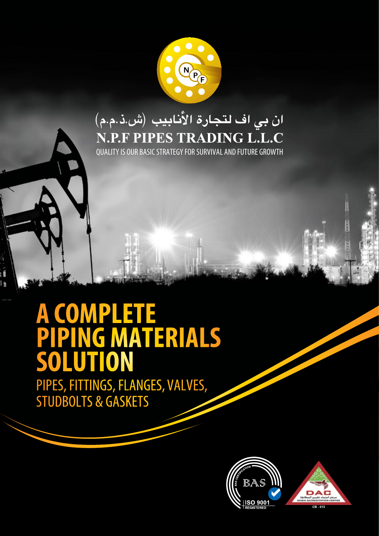

### ان بي اف لتجارة الأُنابيب (ش.ذ.م.م) **N.P.F PIPES TRADING L.L.C**

QUALITY IS OUR BASIC STRATEGY FOR SURVIVAL AND FUTURE GROWTH

## **A COMPLETE PIPING MATERIALS SOLUTION**

PIPES, FITTINGS, FLANGES, VALVES, STUDBOLTS & GASKETS



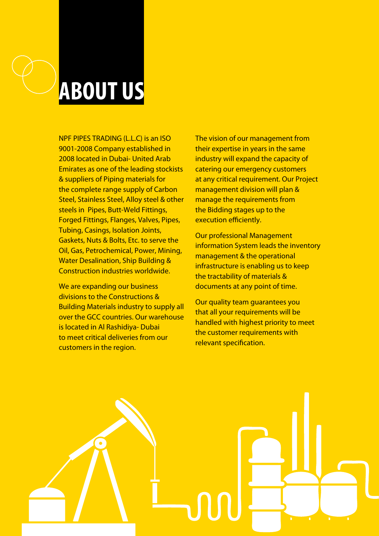

NPF PIPES TRADING (L.L.C) is an ISO 9001-2008 Company established in 2008 located in Dubai- United Arab Emirates as one of the leading stockists & suppliers of Piping materials for the complete range supply of Carbon Steel, Stainless Steel, Alloy steel & other steels in Pipes, Butt-Weld Fittings, Forged Fittings, Flanges, Valves, Pipes, Tubing, Casings, Isolation Joints, Gaskets, Nuts & Bolts, Etc. to serve the Oil, Gas, Petrochemical, Power, Mining, Water Desalination, Ship Building & Construction industries worldwide.

We are expanding our business divisions to the Constructions & Building Materials industry to supply all over the GCC countries. Our warehouse is located in Al Rashidiya- Dubai to meet critical deliveries from our customers in the region.

The vision of our management from their expertise in years in the same industry will expand the capacity of catering our emergency customers at any critical requirement. Our Project management division will plan & manage the requirements from the Bidding stages up to the execution efficiently.

Our professional Management information System leads the inventory management & the operational infrastructure is enabling us to keep the tractability of materials & documents at any point of time.

Our quality team guarantees you that all your requirements will be handled with highest priority to meet the customer requirements with relevant specification.

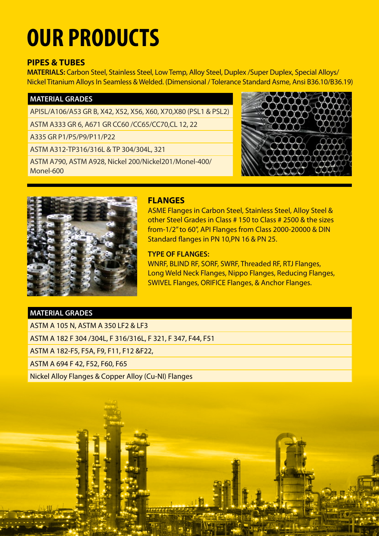# **OUR PRODUCTS**

#### **PIPES & TUBES**

**MATERIALS:** Carbon Steel, Stainless Steel, Low Temp, Alloy Steel, Duplex /Super Duplex, Special Alloys/ Nickel Titanium Alloys In Seamless & Welded. (Dimensional / Tolerance Standard Asme, Ansi B36.10/B36.19)

#### **MATERIAL GRADES**

API5L/A106/A53 GR B, X42, X52, X56, X60, X70,X80 (PSL1 & PSL2)

ASTM A333 GR 6, A671 GR CC60 /CC65/CC70,CL 12, 22

A335 GR P1/P5/P9/P11/P22

ASTM A312-TP316/316L & TP 304/304L, 321

ASTM A790, ASTM A928, Nickel 200/Nickel201/Monel-400/ Monel-600





#### **FLANGES**

ASME Flanges in Carbon Steel, Stainless Steel, Alloy Steel & other Steel Grades in Class # 150 to Class # 2500 & the sizes from-1/2" to 60", API Flanges from Class 2000-20000 & DIN Standard flanges in PN 10,PN 16 & PN 25.

#### **TYPE OF FLANGES:**

WNRF, BLIND RF, SORF, SWRF, Threaded RF, RTJ Flanges, Long Weld Neck Flanges, Nippo Flanges, Reducing Flanges, SWIVEL Flanges, ORIFICE Flanges, & Anchor Flanges.

#### **MATERIAL GRADES**

ASTM A 105 N, ASTM A 350 LF2 & LF3

ASTM A 182 F 304 /304L, F 316/316L, F 321, F 347, F44, F51

ASTM A 182-F5, F5A, F9, F11, F12 &F22,

ASTM A 694 F 42, F52, F60, F65

Nickel Alloy Flanges & Copper Alloy (Cu-NI) Flanges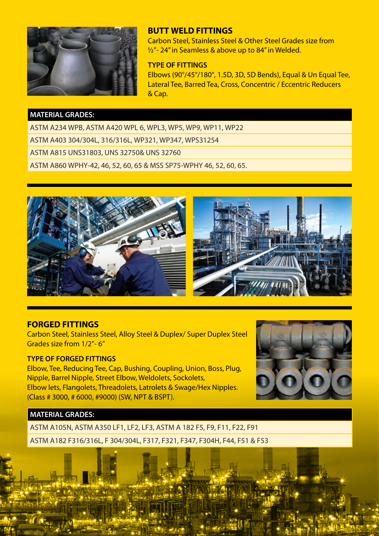

#### **BUTT WELD FITTINGS**

Carbon Steel, Stainless Steel & Other Steel Grades size from  $\frac{1}{2}$ "- 24" in Seamless & above up to 84" in Welded.

#### **TYPE OF FITTINGS**

Elbows (90°/45°/180°, 1.5D, 3D, 5D Bends), Equal & Un Equal Tee, Lateral Tee, Barred Tea, Cross, Concentric / Eccentric Reducers & Cap.

#### **MATERIAL GRADES:**

ASTM A234 WPB, ASTM A420 WPL 6, WPL3, WP5, WP9, WP11, WP22 ASTM A403 304/304L, 316/316L, WP321, WP347, WPS31254 ASTM A815 UNS31803, UNS 32750& UNS 32760 ASTM A860 WPHY-42, 46, 52, 60, 65 & MSS SP75-WPHY 46, 52, 60, 65.



#### **FORGED FITTINGS**

Carbon Steel, Stainless Steel, Alloy Steel & Duplex/ Super Duplex Steel Grades size from 1/2"- 6"

#### **TYPE OF FORGED FITTINGS**

Elbow, Tee, Reducing Tee, Cap, Bushing, Coupling, Union, Boss, Plug, Nipple, Barrel Nipple, Street Elbow, Weldolets, Sockolets, Elbow lets, Flangolets, Threadolets, Latrolets & Swage/Hex Nipples. (Class # 3000, # 6000, #9000) (SW, NPT & BSPT).



#### **MATERIAL GRADES:**

ASTM A105N, ASTM A350 LF1, LF2, LF3, ASTM A 182 F5, F9, F11, F22, F91

ASTM A182 F316/316L, F 304/304L, F317, F321, F347, F304H, F44, F51 & F53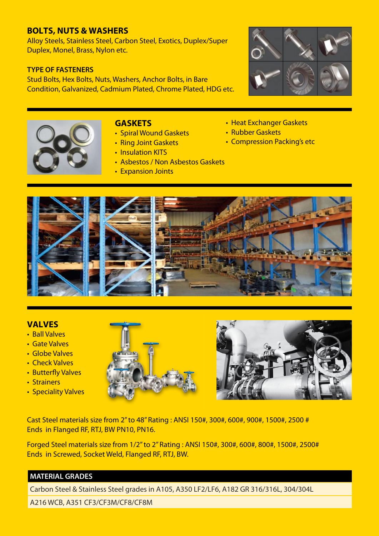#### **BOLTS, NUTS & WASHERS**

Alloy Steels, Stainless Steel, Carbon Steel, Exotics, Duplex/Super Duplex, Monel, Brass, Nylon etc.

#### **TYPE OF FASTENERS**

Stud Bolts, Hex Bolts, Nuts, Washers, Anchor Bolts, in Bare Condition, Galvanized, Cadmium Plated, Chrome Plated, HDG etc.





#### **GASKETS**

- Spiral Wound Gaskets
- Ring Joint Gaskets
- Insulation KITS
- Asbestos / Non Asbestos Gaskets
- Expansion Joints
- Heat Exchanger Gaskets
- Rubber Gaskets
- Compression Packing's etc



#### **VALVES**

- Ball Valves
- Gate Valves
- • Globe Valves
- Check Valves
- Butterfly Valves
- Strainers
- Speciality Valves





Cast Steel materials size from 2" to 48" Rating : ANSI 150#, 300#, 600#, 900#, 1500#, 2500 # Ends in Flanged RF, RTJ, BW PN10, PN16.

Forged Steel materials size from 1/2" to 2" Rating : ANSI 150#, 300#, 600#, 800#, 1500#, 2500# Ends in Screwed, Socket Weld, Flanged RF, RTJ, BW.

#### **MATERIAL GRADES**

Carbon Steel & Stainless Steel grades in A105, A350 LF2/LF6, A182 GR 316/316L, 304/304L

A216 WCB, A351 CF3/CF3M/CF8/CF8M